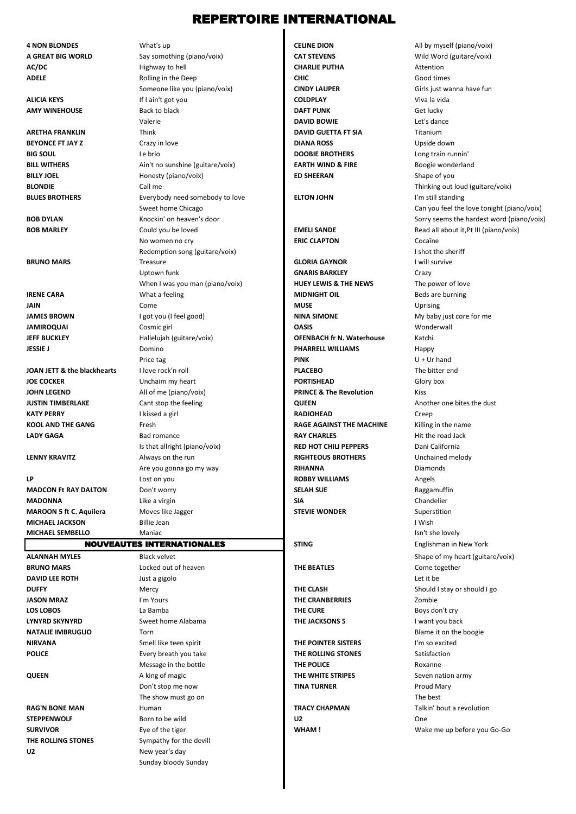## REPERTOIRE INTERNATIONAL

**4 NON BLONDES** What's up **CELINE DION CELINE DION** All by myself (piano/voix)

**AC/DC CHARLIE PUTHA CHARLIE PUTHA CHARLIE PUTHA CHARLIE PUTHA Attention ADELE CHIC** Good times **CHIC** Good times **ALICIA KEYS If I ain't got you <b>COLDPLAY COLDPLAY** Viva la vida **AMY WINEHOUSE** Back to black **DAFT PUNK DAFT PUNK** Get lucky **ARETHA FRANKLIN** Think **DAVID GUETTA FT SIA** Titanium **BEYONCE FT JAY Z DIANA ROSS** Upside down **BIG SOUL DOOBIE BROTHERS** Le brio **DOOBIE BROTHERS** Long train runnin' **BILL WITHERS BILL WITHERS** Ain't no sunshine (guitare/voix) **EARTH WIND & FIRE** Boogie wonderland **BILLY JOEL ED SHEERAN** Shape of you **BLONDIE** Call me Call me Call me Call me Thinking out loud (guitare/voix) **BLUES BROTHERS** Everybody need somebody to love **ELTON JOHN** ELTON JOHN I'm still standing **BRUNO MARS** Treasure **GLORIA GAYNOR** I will survive **IRENE CARA** Beds are burning What a feeling **MIDNIGHT OIL MIDNIGHT OIL** Beds are burning **JAIN** Come **Come MUSE** MUSE Uprising **JAMES BROWN** I got you (I feel good) **NINA SIMONE NINA SIMONE** My baby just core for me **JAMIROQUAI** Cosmic girl **Cosmic girl Cosmic Girl Cosmic Cosmic Cosmic Cosmic Cosmic Cosmic Cosmic Cosmic Cosmic Cosmic Cosmic Cosmic Cosmic Cosmic Cosmic Cosmic Cosmic Cosmic Cosmic Cosmic Cosmic Cosmic Cosmic Cosmic Cosm JEFF BUCKLEY** Hallelujah (guitare/voix) **OFENBACH fr N. Waterhouse** Katchi **JESSIE J PHARRELL WILLIAMS Happy PHARRELL WILLIAMS Happy JOAN JETT & the blackhearts** I love rock'n roll **PLACEBO PLACEBO** The bitter end **JOE COCKER** Unchaim my heart **PORTISHEAD PORTISHEAD** Glory box **JOHN LEGEND** All of me (piano/voix) **PRINCE & The Revolution** Kiss **JUSTIN TIMBERLAKE** Cant stop the feeling **QUEEN QUEEN** Another one bites the dust **KATY PERRY I** kissed a girl **RADIOHEAD RADIOHEAD** Creep **KOOL AND THE GANG Fresh <b>RAGE AGAINST THE MACHINE** Killing in the name **LADY GAGA** Bad romance **RAY CHARLES** Hit the road Jack **LENNY KRAVITZ** Always on the run **RIGHTEOUS BROTHERS** Unchained melody **LP Let us a lost on you <b>COBBY WILLIAMS** Angels **MADCON Ft RAY DALTON** Don't worry **Don't worry <b>SELAH SUE SELAH SUE MADONNA** Like a virgin **SIA** SIA SIA Chandelier **MAROON 5 ft C. Aquilera** Moves like Jagger **SUPER STEVIE WONDER** Superstition **MICHAEL JACKSON** Billie Jean I Wish and the United States of the United States of the United States of the United States of the United States of the United States of the United States of the United States of the United St **MICHAEL SEMBELLO** Maniac Maniac **Islamic Server Server Server Server Server Server Server Server Server Server Server Server Server Server Server Server Server Server Server Server Server Server Server Server Server Serve** 

#### NOUVEAUTES INTERNATIONALES

U2 New year's day

**BRUNO MARS** Come together **Come together Come together Come together Come together DAVID LEE ROTH DAVID LEE ROTH Just a gigolo Let it be a giga and a giga a giga and a giga a giga and a giga a giga and a giga a giga and a giga a giga and a giga a giga and a giga and a giga a giga and a giga and a DUFFY** Should I stay or should I go a state of the Should I stay of Should I go a should I go a should I go a should I go a should I go a should I go a should I go a should I go a should I go a should I go a should I go a **JASON MRAZ I'm Yours The CRANBERRIES** Zombie **LOS LOBOS La Bamba La Bamba Company of the CURE Boys don't cry LYNYRD SKYNYRD** Sweet home Alabama **THE JACKSONS 5** I want you back **NATALIE IMBRUGLIO** Torn **The Blame it on the boogie NATALIE IMBRUGLIO The Blame it on the boogie NIRVANA** Smell like teen spirit **THE POINTER SISTERS** I'm so excited **POLICE** Every breath you take **THE ROLLING STONES** Satisfaction **Message in the bottle <b>THE POLICE THE POLICE** Roxanne **QUEEN** A king of magic **THE WHITE STRIPES** Seven nation army Don't stop me now **TINA TURNER** Proud Mary The show must go on The best and The best and The best and The best and The best and The best and The best and The best and The best and The best and The best and The best and The best and The best and The best and The bes **RAG'N BONE MAN Human Human TRACY CHAPMAN TRACY CHAPMAN Talkin' bout a revolution STEPPENWOLF** Born to be wild **U2** U2 One **SURVIVOR** Eye of the tiger **Example 2008 WHAM !** WHAM ! WHAM **WHAM !** WAKe me up before you Go-Go **THE ROLLING STONES** Sympathy for the devill Sunday bloody Sunday

**A GREAT BIG WORLD** Say somothing (piano/voix) **CAT STEVENS CAT STEVENS** Wild Word (guitare/voix) Someone like you (piano/voix) **CINDY LAUPER** Girls just wanna have fun Valerie **DAVID BOWIE** Let's dance No women no cry **ERIC CLAPTON** Cocaïne Redemption song (guitare/voix) **I** shot the sheriff **I** shot the sheriff **I** shot the sheriff **I** shot the sheriff **I** shot the sheriff **I** shot the sheriff **I** shot the sheriff **I** shot the sheriff **I** shot the sheriff **I** Uptown funk **Crazy**<br>
When I was you man (piano/yoix) **GNARIS BARKLEY GNARIS BARKLEY Crazy** When I was you man (piano/voix) **HUEY LEWIS & THE NEWS** The power of love<br> **MIDNIGHT OIL**<br> **MIDNIGHT OIL** PINK U + Ur hand Is that allright (piano/voix) **RED HOT CHILI PEPPERS** Dani California Are you gonna go my way **RIHANNA** RIHANNA

Sweet home Chicago Can you feel the love tonight (piano/voix) Can you feel the love tonight (piano/voix) **BOB DYLAN** Knockin' on heaven's door Sorry seems the hardest word (piano/voix) **BOB MARLEY EMELI SANDE** Read all about it,Pt III (piano/voix) **Could you be loved EMELI SANDE** Read all about it,Pt III (piano/voix) **READ Read all about it**,Pt III (piano/voix) **STING** Englishman in New York **ALANNAH MYLES** Black velvet Black velvet Shape of my heart (guitare/voix)